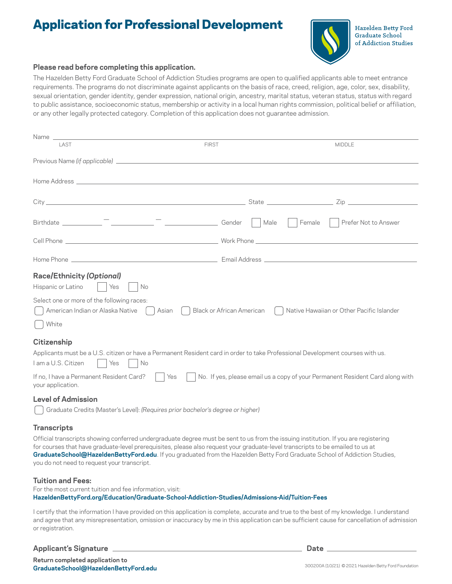# Application for Professional Development



Hazelden Betty Ford **Graduate School** of Addiction Studies

#### **Please read before completing this application.**

The Hazelden Betty Ford Graduate School of Addiction Studies programs are open to qualified applicants able to meet entrance requirements. The programs do not discriminate against applicants on the basis of race, creed, religion, age, color, sex, disability, sexual orientation, gender identity, gender expression, national origin, ancestry, marital status, veteran status, status with regard to public assistance, socioeconomic status, membership or activity in a local human rights commission, political belief or affiliation, or any other legally protected category. Completion of this application does not guarantee admission.

| Name experience and the second contract of the second contract of the second contract of the second contract of                                                                                                                     |                           |                                                                               |
|-------------------------------------------------------------------------------------------------------------------------------------------------------------------------------------------------------------------------------------|---------------------------|-------------------------------------------------------------------------------|
| LAST                                                                                                                                                                                                                                | <b>FIRST</b>              | <b>MIDDLE</b>                                                                 |
|                                                                                                                                                                                                                                     |                           |                                                                               |
| Home Address <b>contracts</b> to the contract of the contract of the contract of the contract of the contract of the contract of the contract of the contract of the contract of the contract of the contract of the contract of th |                           |                                                                               |
|                                                                                                                                                                                                                                     |                           |                                                                               |
|                                                                                                                                                                                                                                     | Male                      | Female<br>Prefer Not to Answer                                                |
|                                                                                                                                                                                                                                     |                           |                                                                               |
|                                                                                                                                                                                                                                     |                           |                                                                               |
| <b>Race/Ethnicity (Optional)</b><br>Hispanic or Latino<br>Yes<br>No<br>Select one or more of the following races:<br>American Indian or Alaska Native    <br>Asian<br>White                                                         | Black or African American | Native Hawaiian or Other Pacific Islander                                     |
| Citizenship<br>Applicants must be a U.S. citizen or have a Permanent Resident card in order to take Professional Development courses with us.<br>I am a U.S. Citizen<br>Yes<br>No<br>If no, I have a Permanent Resident Card?   Yes |                           | No. If yes, please email us a copy of your Permanent Resident Card along with |
| your application.<br><b>Level of Admission</b><br>Graduate Credits (Master's Level): (Requires prior bachelor's degree or higher)                                                                                                   |                           |                                                                               |

#### **Transcripts**

Official transcripts showing conferred undergraduate degree must be sent to us from the issuing institution. If you are registering for courses that have graduate-level prerequisites, please also request your graduate-level transcripts to be emailed to us at **[GraduateSchool@HazeldenBettyFord.edu](mailto:GraduateSchool@HazeldenBettyFord.edu)**. If you graduated from the Hazelden Betty Ford Graduate School of Addiction Studies, you do not need to request your transcript.

#### **Tuition and Fees:**

For the most current tuition and fee information, visit: **[HazeldenBettyFord.org/Education/Graduate-School-Addiction-Studies/Admissions-Aid/Tuition-Fees](http://HazeldenBettyFord.org/Education/Graduate-School-Addiction-Studies/Admissions-Aid/Tuition-Fees)** 

I certify that the information I have provided on this application is complete, accurate and true to the best of my knowledge. I understand and agree that any misrepresentation, omission or inaccuracy by me in this application can be sufficient cause for cancellation of admission or registration.

 **Applicant's Signature Date**